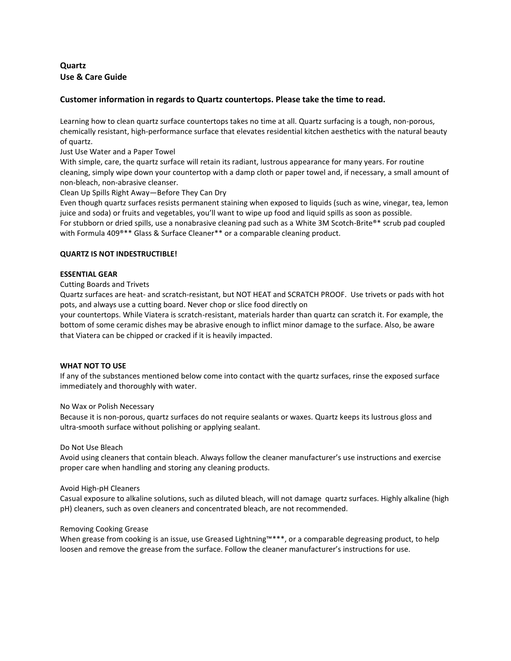# **Quartz Use & Care Guide**

## **Customer information in regards to Quartz countertops. Please take the time to read.**

Learning how to clean quartz surface countertops takes no time at all. Quartz surfacing is a tough, non-porous, chemically resistant, high-performance surface that elevates residential kitchen aesthetics with the natural beauty of quartz.

Just Use Water and a Paper Towel

With simple, care, the quartz surface will retain its radiant, lustrous appearance for many years. For routine cleaning, simply wipe down your countertop with a damp cloth or paper towel and, if necessary, a small amount of non-bleach, non-abrasive cleanser.

## Clean Up Spills Right Away—Before They Can Dry

Even though quartz surfaces resists permanent staining when exposed to liquids (such as wine, vinegar, tea, lemon juice and soda) or fruits and vegetables, you'll want to wipe up food and liquid spills as soon as possible. For stubborn or dried spills, use a nonabrasive cleaning pad such as a White 3M Scotch-Brite®\* scrub pad coupled with Formula 409®\*\* Glass & Surface Cleaner\*\* or a comparable cleaning product.

## **QUARTZ IS NOT INDESTRUCTIBLE!**

## **ESSENTIAL GEAR**

Cutting Boards and Trivets

Quartz surfaces are heat- and scratch-resistant, but NOT HEAT and SCRATCH PROOF. Use trivets or pads with hot pots, and always use a cutting board. Never chop or slice food directly on

your countertops. While Viatera is scratch-resistant, materials harder than quartz can scratch it. For example, the bottom of some ceramic dishes may be abrasive enough to inflict minor damage to the surface. Also, be aware that Viatera can be chipped or cracked if it is heavily impacted.

#### **WHAT NOT TO USE**

If any of the substances mentioned below come into contact with the quartz surfaces, rinse the exposed surface immediately and thoroughly with water.

No Wax or Polish Necessary

Because it is non-porous, quartz surfaces do not require sealants or waxes. Quartz keeps its lustrous gloss and ultra-smooth surface without polishing or applying sealant.

#### Do Not Use Bleach

Avoid using cleaners that contain bleach. Always follow the cleaner manufacturer's use instructions and exercise proper care when handling and storing any cleaning products.

#### Avoid High-pH Cleaners

Casual exposure to alkaline solutions, such as diluted bleach, will not damage quartz surfaces. Highly alkaline (high pH) cleaners, such as oven cleaners and concentrated bleach, are not recommended.

#### Removing Cooking Grease

When grease from cooking is an issue, use Greased Lightning™\*\*\*, or a comparable degreasing product, to help loosen and remove the grease from the surface. Follow the cleaner manufacturer's instructions for use.